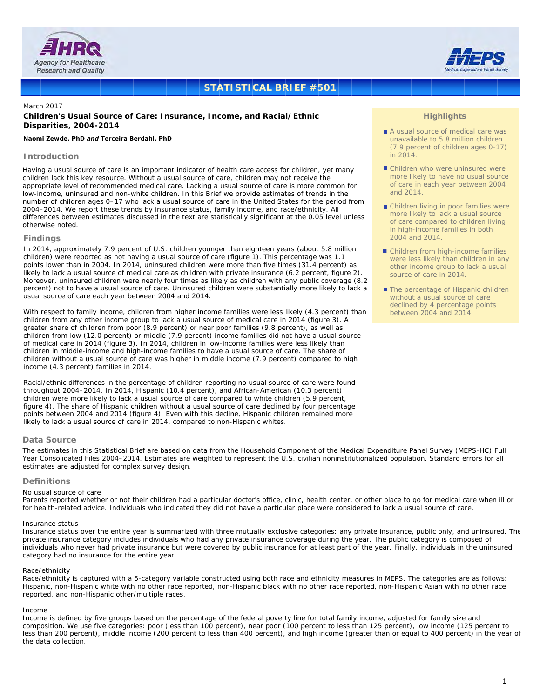



# **STATISTICAL BRIEF #501**

## March 2017

## **Children's Usual Source of Care: Insurance, Income, and Racial/Ethnic Disparities, 2004-2014**

#### *Naomi Zewde, PhD and Terceira Berdahl, PhD*

## **Introduction**

Having a usual source of care is an important indicator of health care access for children, yet many children lack this key resource. Without a usual source of care, children may not receive the appropriate level of recommended medical care. Lacking a usual source of care is more common for low-income, uninsured and non-white children. In this Brief we provide estimates of trends in the number of children ages 0–17 who lack a usual source of care in the United States for the period from 2004–2014. We report these trends by insurance status, family income, and race/ethnicity. All differences between estimates discussed in the text are statistically significant at the 0.05 level unless otherwise noted.

#### **Findings**

In 2014, approximately 7.9 percent of U.S. children younger than eighteen years (about 5.8 million children) were reported as not having a usual source of care (figure 1). This percentage was 1.1 points lower than in 2004. In 2014, uninsured children were more than five times (31.4 percent) as likely to lack a usual source of medical care as children with private insurance (6.2 percent, figure 2). Moreover, uninsured children were nearly four times as likely as children with any public coverage (8.2 percent) not to have a usual source of care. Uninsured children were substantially more likely to lack a usual source of care each year between 2004 and 2014.

With respect to family income, children from higher income families were less likely (4.3 percent) than children from any other income group to lack a usual source of medical care in 2014 (figure 3). A greater share of children from poor (8.9 percent) or near poor families (9.8 percent), as well as children from low (12.0 percent) or middle (7.9 percent) income families did not have a usual source of medical care in 2014 (figure 3). In 2014, children in low-income families were less likely than children in middle-income and high-income families to have a usual source of care. The share of children without a usual source of care was higher in middle income (7.9 percent) compared to high income (4.3 percent) families in 2014.

Racial/ethnic differences in the percentage of children reporting no usual source of care were found throughout 2004–2014. In 2014, Hispanic (10.4 percent), and African-American (10.3 percent) children were more likely to lack a usual source of care compared to white children (5.9 percent, figure 4). The share of Hispanic children without a usual source of care declined by four percentage points between 2004 and 2014 (figure 4). Even with this decline, Hispanic children remained more likely to lack a usual source of care in 2014, compared to non-Hispanic whites.

### **Data Source**

The estimates in this Statistical Brief are based on data from the Household Component of the Medical Expenditure Panel Survey (MEPS-HC) Full Year Consolidated Files 2004–2014. Estimates are weighted to represent the U.S. civilian noninstitutionalized population. Standard errors for all estimates are adjusted for complex survey design.

### **Definitions**

#### *No usual source of care*

Parents reported whether or not their children had a particular doctor's office, clinic, health center, or other place to go for medical care when ill or for health-related advice. Individuals who indicated they did not have a particular place were considered to lack a usual source of care.

#### *Insurance status*

Insurance status over the entire year is summarized with three mutually exclusive categories: any private insurance, public only, and uninsured. The private insurance category includes individuals who had any private insurance coverage during the year. The public category is composed of individuals who never had private insurance but were covered by public insurance for at least part of the year. Finally, individuals in the uninsured category had no insurance for the entire year.

### *Race/ethnicity*

Race/ethnicity is captured with a 5-category variable constructed using both race and ethnicity measures in MEPS. The categories are as follows: Hispanic, non-Hispanic white with no other race reported, non-Hispanic black with no other race reported, non-Hispanic Asian with no other race reported, and non-Hispanic other/multiple races.

#### *Income*

Income is defined by five groups based on the percentage of the federal poverty line for total family income, adjusted for family size and composition. We use five categories: poor (less than 100 percent), near poor (100 percent to less than 125 percent), low income (125 percent to less than 200 percent), middle income (200 percent to less than 400 percent), and high income (greater than or equal to 400 percent) in the year of the data collection.

## **Highlights**

- A usual source of medical care was unavailable to 5.8 million children (7.9 percent of children ages 0-17) in 2014.
- **Children who were uninsured were** more likely to have no usual source of care in each year between 2004 and 2014.
- **Children living in poor families were** more likely to lack a usual source of care compared to children living in high-income families in both 2004 and 2014.
- Children from high-income families were less likely than children in any other income group to lack a usual source of care in 2014.
- The percentage of Hispanic children without a usual source of care declined by 4 percentage points between 2004 and 2014.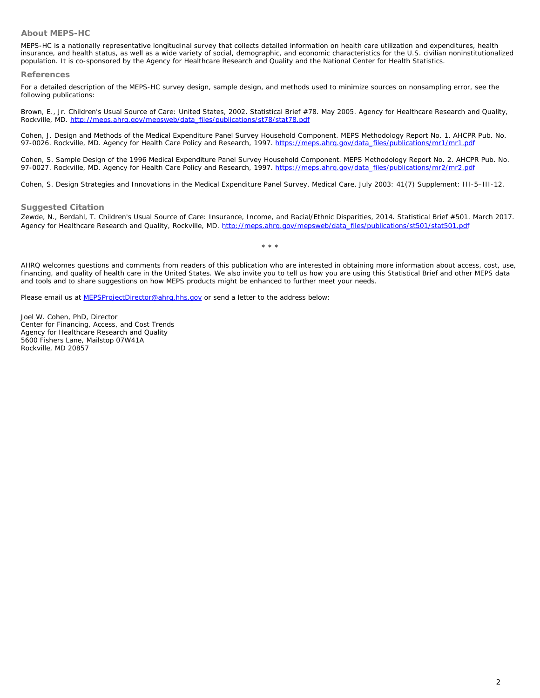## **About MEPS-HC**

MEPS-HC is a nationally representative longitudinal survey that collects detailed information on health care utilization and expenditures, health insurance, and health status, as well as a wide variety of social, demographic, and economic characteristics for the U.S. civilian noninstitutionalized population. It is co-sponsored by the Agency for Healthcare Research and Quality and the National Center for Health Statistics.

### **References**

For a detailed description of the MEPS-HC survey design, sample design, and methods used to minimize sources on nonsampling error, see the following publi[cations:](http://meps.ahrq.gov/mepsweb/data_files/publications/st78/stat78.pdf) 

Brown, E., Jr. *Children's Usual Source of Care: United States, 2002*. Statistical Brief #78. May 2005. Agency for Healthcare Research and Quality, Rockville, MD. http://meps.ahrq.gov/mepsweb/data\_files/publications/st78[/stat78.pdf](https://meps.ahrq.gov/data_files/publications/mr1/mr1.pdf)

Cohen, J. *Design and Methods of the Medical Expenditure Panel Survey Household Component.* MEPS Methodology Report No. 1. AHCPR Pub. No. 97-0026. Rockville, MD. Agency for Health Care Policy and Research, 1997. https://meps.ahrg.gov/data\_files/publications/mr1/mr1.pdf

Cohen, S. *Sample Design of the 1996 Medical Expenditure Panel Survey Household Component.* MEPS Methodology Report No. 2. AHCPR Pub. No. 97-0027. Rockville, MD. Agency for Health Care Policy and Research, 1997. https://meps.ahrg.gov/data\_files/publications/mr2/mr2.pdf

Cohen, S. Design Strategies and Innovations in the Medical Expenditure Panel Survey. *Medical Care*, July 2003: 41(7) Supplement: III-5–III-12.

## **Suggested Citation**

Zewde, N., Berdahl, T. *Children's Usual Source of Care: Insurance, Income, and Racial/Ethnic Disparities, 2014*. Statistical Brief #501. March 2017. Agency for Healthcare Research and Quality, Rockville, MD. http://meps.ahrq.gov/mepsweb/data\_files/publications/st501/stat501.pdf

\* \* \*

AHRQ welcomes questions and comments from readers of this publication who are interested in obtaining more information about access, cost, use, financing, and qua[lity of health care in the United Stat](mailto: MEPSProjectDirector@ahrq.hhs.gov)es. We also invite you to tell us how you are using this Statistical Brief and other MEPS data and tools and to share suggestions on how MEPS products might be enhanced to further meet your needs.

Please email us at MEPSProjectDirector@ahrq.hhs.gov or send a letter to the address below:

Joel W. Cohen, PhD, Director Center for Financing, Access, and Cost Trends Agency for Healthcare Research and Quality 5600 Fishers Lane, Mailstop 07W41A Rockville, MD 20857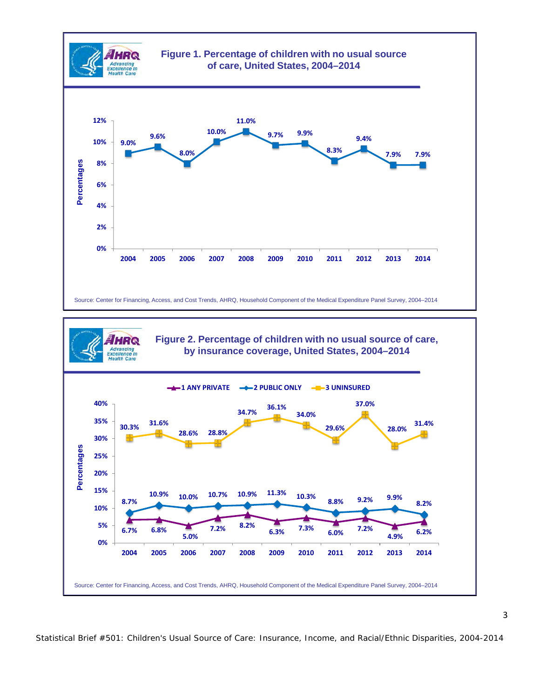

Statistical Brief #501: Children's Usual Source of Care: Insurance, Income, and Racial/Ethnic Disparities, 2004-2014